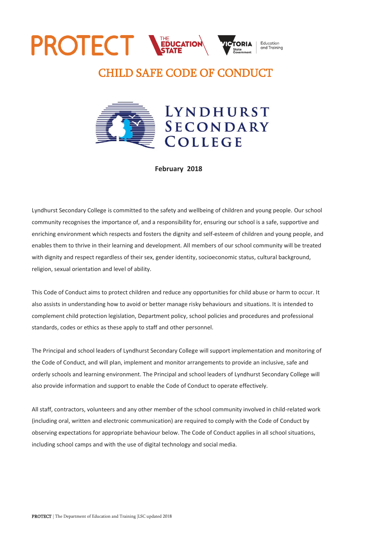# **PROTECT NEDUCATION** Education

# CHILD SAFE CODE OF CONDUCT



## **February 2018**

Lyndhurst Secondary College is committed to the safety and wellbeing of children and young people. Our school community recognises the importance of, and a responsibility for, ensuring our school is a safe, supportive and enriching environment which respects and fosters the dignity and self-esteem of children and young people, and enables them to thrive in their learning and development. All members of our school community will be treated with dignity and respect regardless of their sex, gender identity, socioeconomic status, cultural background, religion, sexual orientation and level of ability.

This Code of Conduct aims to protect children and reduce any opportunities for child abuse or harm to occur. It also assists in understanding how to avoid or better manage risky behaviours and situations. It is intended to complement child protection legislation, Department policy, school policies and procedures and professional standards, codes or ethics as these apply to staff and other personnel.

The Principal and school leaders of Lyndhurst Secondary College will support implementation and monitoring of the Code of Conduct, and will plan, implement and monitor arrangements to provide an inclusive, safe and orderly schools and learning environment. The Principal and school leaders of Lyndhurst Secondary College will also provide information and support to enable the Code of Conduct to operate effectively.

All staff, contractors, volunteers and any other member of the school community involved in child-related work (including oral, written and electronic communication) are required to comply with the Code of Conduct by observing expectations for appropriate behaviour below. The Code of Conduct applies in all school situations, including school camps and with the use of digital technology and social media.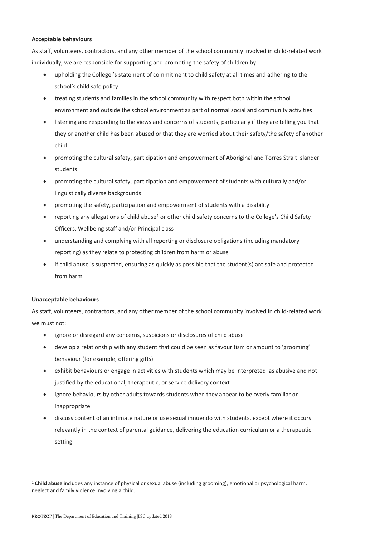#### **Acceptable behaviours**

As staff, volunteers, contractors, and any other member of the school community involved in child-related work individually, we are responsible for supporting and promoting the safety of children by:

- upholding the Collegel's statement of commitment to child safety at all times and adhering to the school's child safe policy
- treating students and families in the school community with respect both within the school environment and outside the school environment as part of normal social and community activities
- listening and responding to the views and concerns of students, particularly if they are telling you that they or another child has been abused or that they are worried about their safety/the safety of another child
- promoting the cultural safety, participation and empowerment of Aboriginal and Torres Strait Islander students
- promoting the cultural safety, participation and empowerment of students with culturally and/or linguistically diverse backgrounds
- promoting the safety, participation and empowerment of students with a disability
- reporting any allegations of child abuse<sup>1</sup> or other child safety concerns to the College's Child Safety Officers, Wellbeing staff and/or Principal class
- understanding and complying with all reporting or disclosure obligations (including mandatory reporting) as they relate to protecting children from harm or abuse
- if child abuse is suspected, ensuring as quickly as possible that the student(s) are safe and protected from harm

#### **Unacceptable behaviours**

 $\overline{a}$ 

As staff, volunteers, contractors, and any other member of the school community involved in child-related work we must not:

- ignore or disregard any concerns, suspicions or disclosures of child abuse
- develop a relationship with any student that could be seen as favouritism or amount to 'grooming' behaviour (for example, offering gifts)
- exhibit behaviours or engage in activities with students which may be interpreted as abusive and not justified by the educational, therapeutic, or service delivery context
- ignore behaviours by other adults towards students when they appear to be overly familiar or inappropriate
- discuss content of an intimate nature or use sexual innuendo with students, except where it occurs relevantly in the context of parental guidance, delivering the education curriculum or a therapeutic setting

<sup>&</sup>lt;sup>1</sup> Child abuse includes any instance of physical or sexual abuse (including grooming), emotional or psychological harm, neglect and family violence involving a child.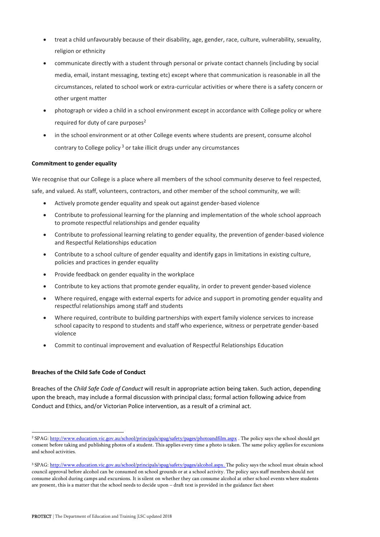- treat a child unfavourably because of their disability, age, gender, race, culture, vulnerability, sexuality, religion or ethnicity
- communicate directly with a student through personal or private contact channels (including by social media, email, instant messaging, texting etc) except where that communication is reasonable in all the circumstances, related to school work or extra-curricular activities or where there is a safety concern or other urgent matter
- photograph or video a child in a school environment except in accordance with College policy or where required for duty of care purposes $2$
- in the school environment or at other College events where students are present, consume alcohol contrary to College policy<sup>3</sup> or take illicit drugs under any circumstances

#### **Commitment to gender equality**

We recognise that our College is a place where all members of the school community deserve to feel respected, safe, and valued. As staff, volunteers, contractors, and other member of the school community, we will:

- Actively promote gender equality and speak out against gender-based violence
- Contribute to professional learning for the planning and implementation of the whole school approach to promote respectful relationships and gender equality
- Contribute to professional learning relating to gender equality, the prevention of gender-based violence and Respectful Relationships education
- Contribute to a school culture of gender equality and identify gaps in limitations in existing culture, policies and practices in gender equality
- Provide feedback on gender equality in the workplace
- Contribute to key actions that promote gender equality, in order to prevent gender-based violence
- Where required, engage with external experts for advice and support in promoting gender equality and respectful relationships among staff and students
- Where required, contribute to building partnerships with expert family violence services to increase school capacity to respond to students and staff who experience, witness or perpetrate gender-based violence
- Commit to continual improvement and evaluation of Respectful Relationships Education

### **Breaches of the Child Safe Code of Conduct**

 $\overline{a}$ 

Breaches of the *Child Safe Code of Conduct* will result in appropriate action being taken. Such action, depending upon the breach, may include a formal discussion with principal class; formal action following advice from Conduct and Ethics, and/or Victorian Police intervention, as a result of a criminal act.

<sup>&</sup>lt;sup>2</sup> SPAG[: http://www.education.vic.gov.au/school/principals/spag/safety/pages/photoandfilm.aspx](http://www.education.vic.gov.au/school/principals/spag/safety/pages/photoandfilm.aspx) . The policy says the school should get consent before taking and publishing photos of a student. This applies every time a photo is taken. The same policy applies for excursions and school activities.

<sup>&</sup>lt;sup>3</sup> SPAG[: http://www.education.vic.gov.au/school/principals/spag/safety/pages/alcohol.aspx.](http://www.education.vic.gov.au/school/principals/spag/safety/pages/alcohol.aspx) The policy says the school must obtain school council approval before alcohol can be consumed on school grounds or at a school activity. The policy says staff members should not consume alcohol during camps and excursions. It is silent on whether they can consume alcohol at other school events where students are present, this is a matter that the school needs to decide upon – draft text is provided in the guidance fact sheet